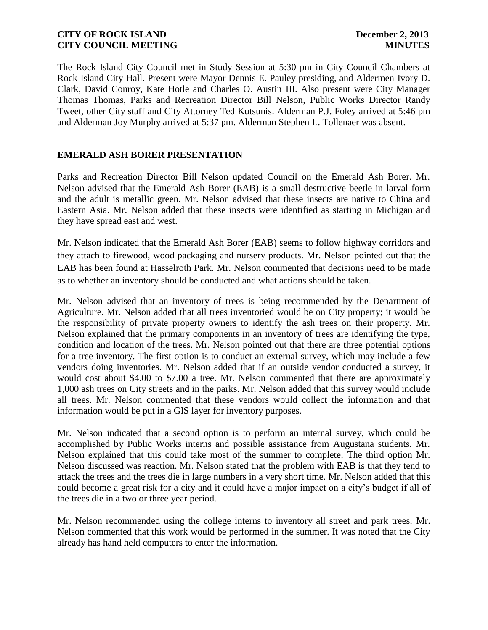The Rock Island City Council met in Study Session at 5:30 pm in City Council Chambers at Rock Island City Hall. Present were Mayor Dennis E. Pauley presiding, and Aldermen Ivory D. Clark, David Conroy, Kate Hotle and Charles O. Austin III. Also present were City Manager Thomas Thomas, Parks and Recreation Director Bill Nelson, Public Works Director Randy Tweet, other City staff and City Attorney Ted Kutsunis. Alderman P.J. Foley arrived at 5:46 pm and Alderman Joy Murphy arrived at 5:37 pm. Alderman Stephen L. Tollenaer was absent.

## **EMERALD ASH BORER PRESENTATION**

Parks and Recreation Director Bill Nelson updated Council on the Emerald Ash Borer. Mr. Nelson advised that the Emerald Ash Borer (EAB) is a small destructive beetle in larval form and the adult is metallic green. Mr. Nelson advised that these insects are native to China and Eastern Asia. Mr. Nelson added that these insects were identified as starting in Michigan and they have spread east and west.

they attach to firewood, wood packaging and nursery products. Mr. Nelson pointed out that the EAB has been found at Hasselroth Park. Mr. Nelson commented that decisions need to be made as to whether an inventory should be conducted and what actions should be taken. Mr. Nelson indicated that the Emerald Ash Borer (EAB) seems to follow highway corridors and

Mr. Nelson advised that an inventory of trees is being recommended by the Department of Agriculture. Mr. Nelson added that all trees inventoried would be on City property; it would be the responsibility of private property owners to identify the ash trees on their property. Mr. Nelson explained that the primary components in an inventory of trees are identifying the type, condition and location of the trees. Mr. Nelson pointed out that there are three potential options for a tree inventory. The first option is to conduct an external survey, which may include a few vendors doing inventories. Mr. Nelson added that if an outside vendor conducted a survey, it would cost about \$4.00 to \$7.00 a tree. Mr. Nelson commented that there are approximately 1,000 ash trees on City streets and in the parks. Mr. Nelson added that this survey would include all trees. Mr. Nelson commented that these vendors would collect the information and that information would be put in a GIS layer for inventory purposes.

Mr. Nelson indicated that a second option is to perform an internal survey, which could be accomplished by Public Works interns and possible assistance from Augustana students. Mr. Nelson explained that this could take most of the summer to complete. The third option Mr. Nelson discussed was reaction. Mr. Nelson stated that the problem with EAB is that they tend to attack the trees and the trees die in large numbers in a very short time. Mr. Nelson added that this could become a great risk for a city and it could have a major impact on a city's budget if all of the trees die in a two or three year period.

Mr. Nelson recommended using the college interns to inventory all street and park trees. Mr. Nelson commented that this work would be performed in the summer. It was noted that the City already has hand held computers to enter the information.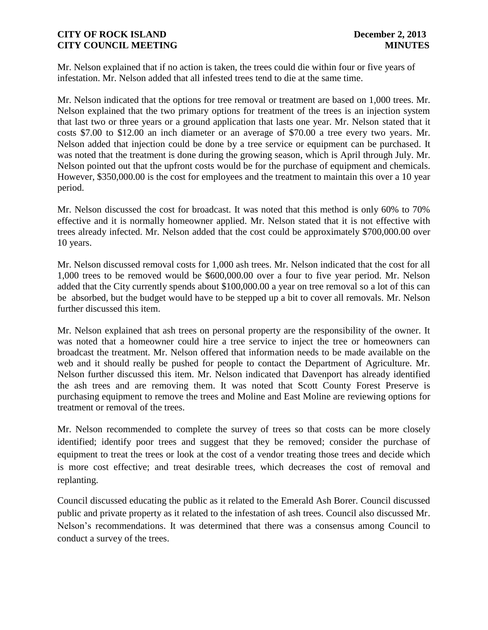Mr. Nelson explained that if no action is taken, the trees could die within four or five years of infestation. Mr. Nelson added that all infested trees tend to die at the same time.

Mr. Nelson indicated that the options for tree removal or treatment are based on 1,000 trees. Mr. Nelson explained that the two primary options for treatment of the trees is an injection system that last two or three years or a ground application that lasts one year. Mr. Nelson stated that it costs \$7.00 to \$12.00 an inch diameter or an average of \$70.00 a tree every two years. Mr. Nelson added that injection could be done by a tree service or equipment can be purchased. It was noted that the treatment is done during the growing season, which is April through July. Mr. Nelson pointed out that the upfront costs would be for the purchase of equipment and chemicals. However, \$350,000.00 is the cost for employees and the treatment to maintain this over a 10 year period.

Mr. Nelson discussed the cost for broadcast. It was noted that this method is only 60% to 70% effective and it is normally homeowner applied. Mr. Nelson stated that it is not effective with trees already infected. Mr. Nelson added that the cost could be approximately \$700,000.00 over 10 years.

Mr. Nelson discussed removal costs for 1,000 ash trees. Mr. Nelson indicated that the cost for all 1,000 trees to be removed would be \$600,000.00 over a four to five year period. Mr. Nelson added that the City currently spends about \$100,000.00 a year on tree removal so a lot of this can be absorbed, but the budget would have to be stepped up a bit to cover all removals. Mr. Nelson further discussed this item.

Mr. Nelson explained that ash trees on personal property are the responsibility of the owner. It was noted that a homeowner could hire a tree service to inject the tree or homeowners can broadcast the treatment. Mr. Nelson offered that information needs to be made available on the web and it should really be pushed for people to contact the Department of Agriculture. Mr. Nelson further discussed this item. Mr. Nelson indicated that Davenport has already identified the ash trees and are removing them. It was noted that Scott County Forest Preserve is purchasing equipment to remove the trees and Moline and East Moline are reviewing options for treatment or removal of the trees.

Mr. Nelson recommended to complete the survey of trees so that costs can be more closely identified; identify poor trees and suggest that they be removed; consider the purchase of equipment to treat the trees or look at the cost of a vendor treating those trees and decide which is more cost effective; and treat desirable trees, which decreases the cost of removal and replanting.

Council discussed educating the public as it related to the Emerald Ash Borer. Council discussed public and private property as it related to the infestation of ash trees. Council also discussed Mr. Nelson's recommendations. It was determined that there was a consensus among Council to conduct a survey of the trees.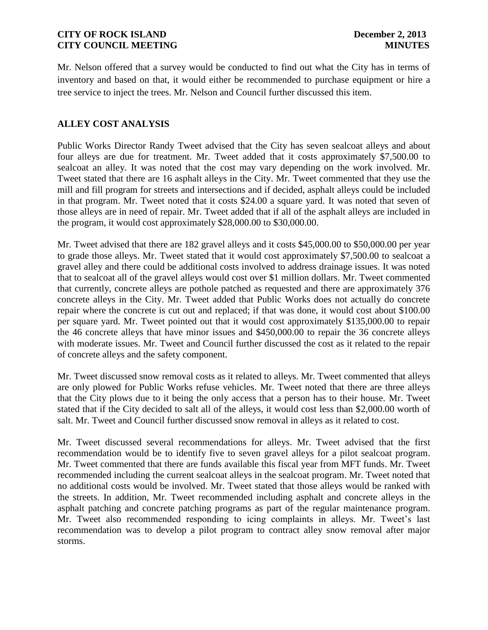Mr. Nelson offered that a survey would be conducted to find out what the City has in terms of inventory and based on that, it would either be recommended to purchase equipment or hire a tree service to inject the trees. Mr. Nelson and Council further discussed this item.

## **ALLEY COST ANALYSIS**

Public Works Director Randy Tweet advised that the City has seven sealcoat alleys and about four alleys are due for treatment. Mr. Tweet added that it costs approximately \$7,500.00 to sealcoat an alley. It was noted that the cost may vary depending on the work involved. Mr. Tweet stated that there are 16 asphalt alleys in the City. Mr. Tweet commented that they use the mill and fill program for streets and intersections and if decided, asphalt alleys could be included in that program. Mr. Tweet noted that it costs \$24.00 a square yard. It was noted that seven of those alleys are in need of repair. Mr. Tweet added that if all of the asphalt alleys are included in the program, it would cost approximately \$28,000.00 to \$30,000.00.

Mr. Tweet advised that there are 182 gravel alleys and it costs \$45,000.00 to \$50,000.00 per year to grade those alleys. Mr. Tweet stated that it would cost approximately \$7,500.00 to sealcoat a gravel alley and there could be additional costs involved to address drainage issues. It was noted that to sealcoat all of the gravel alleys would cost over \$1 million dollars. Mr. Tweet commented that currently, concrete alleys are pothole patched as requested and there are approximately 376 concrete alleys in the City. Mr. Tweet added that Public Works does not actually do concrete repair where the concrete is cut out and replaced; if that was done, it would cost about \$100.00 per square yard. Mr. Tweet pointed out that it would cost approximately \$135,000.00 to repair the 46 concrete alleys that have minor issues and \$450,000.00 to repair the 36 concrete alleys with moderate issues. Mr. Tweet and Council further discussed the cost as it related to the repair of concrete alleys and the safety component.

Mr. Tweet discussed snow removal costs as it related to alleys. Mr. Tweet commented that alleys are only plowed for Public Works refuse vehicles. Mr. Tweet noted that there are three alleys that the City plows due to it being the only access that a person has to their house. Mr. Tweet stated that if the City decided to salt all of the alleys, it would cost less than \$2,000.00 worth of salt. Mr. Tweet and Council further discussed snow removal in alleys as it related to cost.

Mr. Tweet discussed several recommendations for alleys. Mr. Tweet advised that the first recommendation would be to identify five to seven gravel alleys for a pilot sealcoat program. Mr. Tweet commented that there are funds available this fiscal year from MFT funds. Mr. Tweet recommended including the current sealcoat alleys in the sealcoat program. Mr. Tweet noted that no additional costs would be involved. Mr. Tweet stated that those alleys would be ranked with the streets. In addition, Mr. Tweet recommended including asphalt and concrete alleys in the asphalt patching and concrete patching programs as part of the regular maintenance program. Mr. Tweet also recommended responding to icing complaints in alleys. Mr. Tweet's last recommendation was to develop a pilot program to contract alley snow removal after major storms.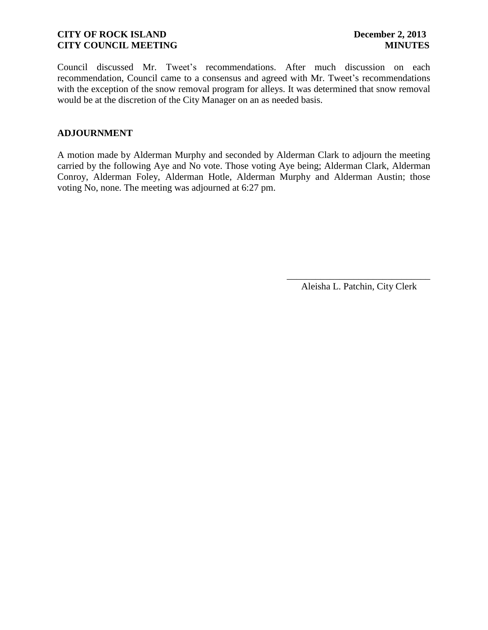Council discussed Mr. Tweet's recommendations. After much discussion on each recommendation, Council came to a consensus and agreed with Mr. Tweet's recommendations with the exception of the snow removal program for alleys. It was determined that snow removal would be at the discretion of the City Manager on an as needed basis.

## **ADJOURNMENT**

A motion made by Alderman Murphy and seconded by Alderman Clark to adjourn the meeting carried by the following Aye and No vote. Those voting Aye being; Alderman Clark, Alderman Conroy, Alderman Foley, Alderman Hotle, Alderman Murphy and Alderman Austin; those voting No, none. The meeting was adjourned at 6:27 pm.

> \_\_\_\_\_\_\_\_\_\_\_\_\_\_\_\_\_\_\_\_\_\_\_\_\_\_\_\_\_\_ Aleisha L. Patchin, City Clerk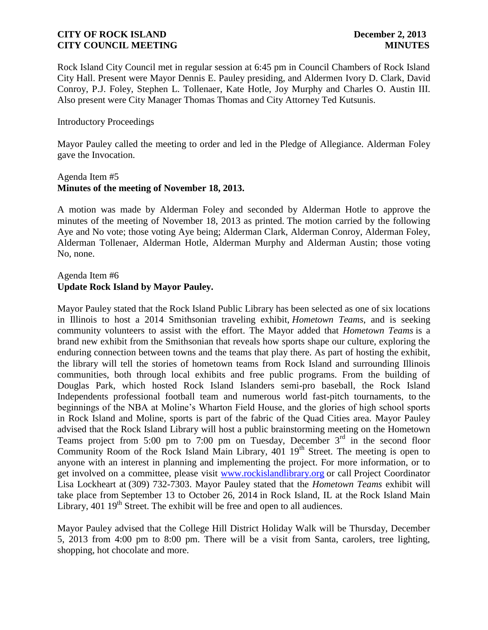Rock Island City Council met in regular session at 6:45 pm in Council Chambers of Rock Island City Hall. Present were Mayor Dennis E. Pauley presiding, and Aldermen Ivory D. Clark, David Conroy, P.J. Foley, Stephen L. Tollenaer, Kate Hotle, Joy Murphy and Charles O. Austin III. Also present were City Manager Thomas Thomas and City Attorney Ted Kutsunis.

### Introductory Proceedings

Mayor Pauley called the meeting to order and led in the Pledge of Allegiance. Alderman Foley gave the Invocation.

### Agenda Item #5 **Minutes of the meeting of November 18, 2013.**

A motion was made by Alderman Foley and seconded by Alderman Hotle to approve the minutes of the meeting of November 18, 2013 as printed. The motion carried by the following Aye and No vote; those voting Aye being; Alderman Clark, Alderman Conroy, Alderman Foley, Alderman Tollenaer, Alderman Hotle, Alderman Murphy and Alderman Austin; those voting No, none.

## Agenda Item #6 **Update Rock Island by Mayor Pauley.**

Mayor Pauley stated that the Rock Island Public Library has been selected as one of six locations in Illinois to host a 2014 Smithsonian traveling exhibit, *Hometown Teams*, and is seeking community volunteers to assist with the effort. The Mayor added that *Hometown Teams* is a brand new exhibit from the Smithsonian that reveals how sports shape our culture, exploring the enduring connection between towns and the teams that play there. As part of hosting the exhibit, the library will tell the stories of hometown teams from Rock Island and surrounding Illinois communities, both through local exhibits and free public programs. From the building of Douglas Park, which hosted Rock Island Islanders semi-pro baseball, the Rock Island Independents professional football team and numerous world fast-pitch tournaments, to the beginnings of the NBA at Moline's Wharton Field House, and the glories of high school sports in Rock Island and Moline, sports is part of the fabric of the Quad Cities area. Mayor Pauley advised that the Rock Island Library will host a public brainstorming meeting on the Hometown Teams project from 5:00 pm to 7:00 pm on Tuesday, December  $3<sup>rd</sup>$  in the second floor Community Room of the Rock Island Main Library,  $401 \, 19$ <sup>th</sup> Street. The meeting is open to anyone with an interest in planning and implementing the project. For more information, or to get involved on a committee, please visit [www.rockislandlibrary.org](http://www.rockislandlibrary.org/) or call Project Coordinator Lisa Lockheart at [\(309\) 732-7303.](tel:309-732-7303) Mayor Pauley stated that the *Hometown Teams* exhibit will take place from September 13 to October 26, 2014 in Rock Island, IL at the Rock Island Main Library,  $401 \, 19^{th}$  Street. The exhibit will be free and open to all audiences.

Mayor Pauley advised that the College Hill District Holiday Walk will be Thursday, December 5, 2013 from 4:00 pm to 8:00 pm. There will be a visit from Santa, carolers, tree lighting, shopping, hot chocolate and more.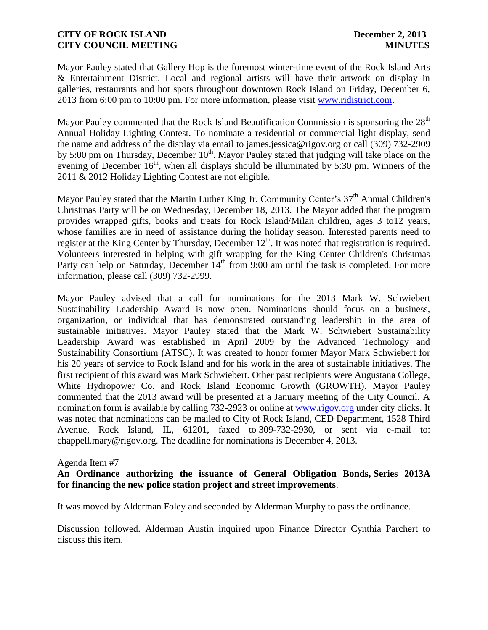Mayor Pauley stated that Gallery Hop is the foremost winter-time event of the Rock Island Arts & Entertainment District. Local and regional artists will have their artwork on display in galleries, restaurants and hot spots throughout downtown Rock Island on Friday, December 6, 2013 from 6:00 pm to 10:00 pm. For more information, please visit [www.ridistrict.com.](http://www.ridistrict.com/)

Mayor Pauley commented that the Rock Island Beautification Commission is sponsoring the 28<sup>th</sup> Annual Holiday Lighting Contest. To nominate a residential or commercial light display, send the name and address of the display via email to james.jessica@rigov.org or call (309) 732-2909 by 5:00 pm on Thursday, December 10<sup>th</sup>. Mayor Pauley stated that judging will take place on the evening of December  $16<sup>th</sup>$ , when all displays should be illuminated by 5:30 pm. Winners of the 2011 & 2012 Holiday Lighting Contest are not eligible.

Mayor Pauley stated that the Martin Luther King Jr. Community Center's 37<sup>th</sup> Annual Children's Christmas Party will be on Wednesday, December 18, 2013. The Mayor added that the program provides wrapped gifts, books and treats for Rock Island/Milan children, ages 3 to12 years, whose families are in need of assistance during the holiday season. Interested parents need to register at the King Center by Thursday, December 12<sup>th</sup>. It was noted that registration is required. Volunteers interested in helping with gift wrapping for the King Center Children's Christmas Party can help on Saturday, December  $14<sup>th</sup>$  from 9:00 am until the task is completed. For more information, please call (309) 732-2999.

Mayor Pauley advised that a call for nominations for the 2013 Mark W. Schwiebert Sustainability Leadership Award is now open. Nominations should focus on a business, organization, or individual that has demonstrated outstanding leadership in the area of sustainable initiatives. Mayor Pauley stated that the Mark W. Schwiebert Sustainability Leadership Award was established in April 2009 by the Advanced Technology and Sustainability Consortium (ATSC). It was created to honor former Mayor Mark Schwiebert for his 20 years of service to Rock Island and for his work in the area of sustainable initiatives. The first recipient of this award was Mark Schwiebert. Other past recipients were Augustana College, White Hydropower Co. and Rock Island Economic Growth (GROWTH). Mayor Pauley commented that the 2013 award will be presented at a January meeting of the City Council. A nomination form is available by calling 732-2923 or online at [www.rigov.org](http://www.rigov.org/) under city clicks. It was noted that nominations can be mailed to City of Rock Island, CED Department, 1528 Third Avenue, Rock Island, IL, 61201, faxed to 309-732-2930, or sent via e-mail to: chappell.mary@rigov.org. The deadline for nominations is December 4, 2013.

#### Agenda Item #7

## **An Ordinance authorizing the issuance of General Obligation Bonds, Series 2013A for financing the new police station project and street improvements**.

It was moved by Alderman Foley and seconded by Alderman Murphy to pass the ordinance.

Discussion followed. Alderman Austin inquired upon Finance Director Cynthia Parchert to discuss this item.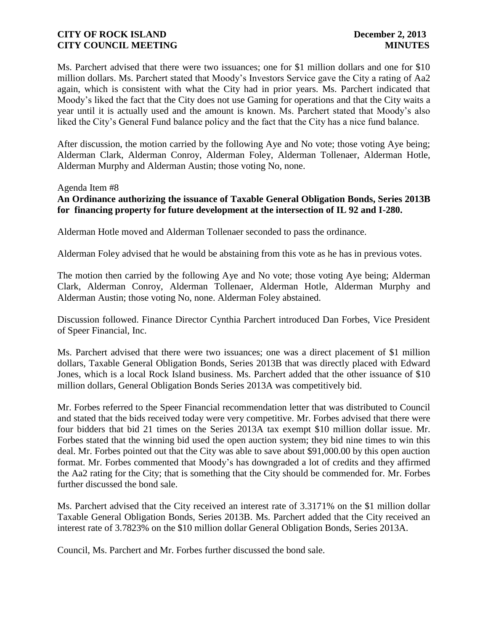Ms. Parchert advised that there were two issuances; one for \$1 million dollars and one for \$10 million dollars. Ms. Parchert stated that Moody's Investors Service gave the City a rating of Aa2 again, which is consistent with what the City had in prior years. Ms. Parchert indicated that Moody's liked the fact that the City does not use Gaming for operations and that the City waits a year until it is actually used and the amount is known. Ms. Parchert stated that Moody's also liked the City's General Fund balance policy and the fact that the City has a nice fund balance.

After discussion, the motion carried by the following Aye and No vote; those voting Aye being; Alderman Clark, Alderman Conroy, Alderman Foley, Alderman Tollenaer, Alderman Hotle, Alderman Murphy and Alderman Austin; those voting No, none.

#### Agenda Item #8

## **An Ordinance authorizing the issuance of Taxable General Obligation Bonds, Series 2013B for financing property for future development at the intersection of IL 92 and I-280.**

Alderman Hotle moved and Alderman Tollenaer seconded to pass the ordinance.

Alderman Foley advised that he would be abstaining from this vote as he has in previous votes.

The motion then carried by the following Aye and No vote; those voting Aye being; Alderman Clark, Alderman Conroy, Alderman Tollenaer, Alderman Hotle, Alderman Murphy and Alderman Austin; those voting No, none. Alderman Foley abstained.

Discussion followed. Finance Director Cynthia Parchert introduced Dan Forbes, Vice President of Speer Financial, Inc.

Ms. Parchert advised that there were two issuances; one was a direct placement of \$1 million dollars, Taxable General Obligation Bonds, Series 2013B that was directly placed with Edward Jones, which is a local Rock Island business. Ms. Parchert added that the other issuance of \$10 million dollars, General Obligation Bonds Series 2013A was competitively bid.

Mr. Forbes referred to the Speer Financial recommendation letter that was distributed to Council and stated that the bids received today were very competitive. Mr. Forbes advised that there were four bidders that bid 21 times on the Series 2013A tax exempt \$10 million dollar issue. Mr. Forbes stated that the winning bid used the open auction system; they bid nine times to win this deal. Mr. Forbes pointed out that the City was able to save about \$91,000.00 by this open auction format. Mr. Forbes commented that Moody's has downgraded a lot of credits and they affirmed the Aa2 rating for the City; that is something that the City should be commended for. Mr. Forbes further discussed the bond sale.

Ms. Parchert advised that the City received an interest rate of 3.3171% on the \$1 million dollar Taxable General Obligation Bonds, Series 2013B. Ms. Parchert added that the City received an interest rate of 3.7823% on the \$10 million dollar General Obligation Bonds, Series 2013A.

Council, Ms. Parchert and Mr. Forbes further discussed the bond sale.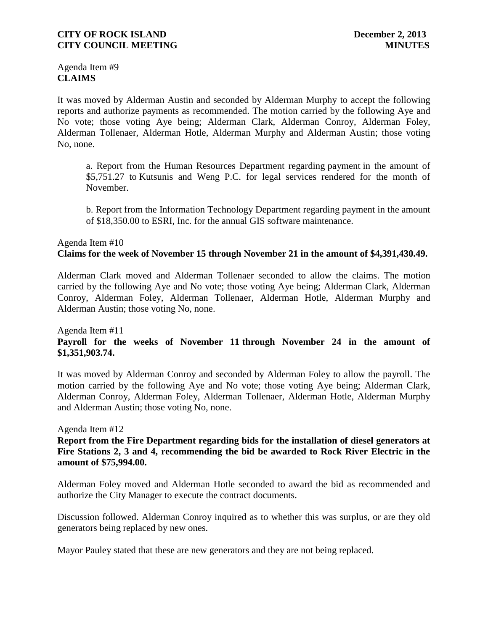Agenda Item #9 **CLAIMS**

It was moved by Alderman Austin and seconded by Alderman Murphy to accept the following reports and authorize payments as recommended. The motion carried by the following Aye and No vote; those voting Aye being; Alderman Clark, Alderman Conroy, Alderman Foley, Alderman Tollenaer, Alderman Hotle, Alderman Murphy and Alderman Austin; those voting No, none.

a. Report from the Human Resources Department regarding payment in the amount of \$5,751.27 to Kutsunis and Weng P.C. for legal services rendered for the month of November.

b. Report from the Information Technology Department regarding payment in the amount of \$18,350.00 to ESRI, Inc. for the annual GIS software maintenance.

# Agenda Item #10 **Claims for the week of November 15 through November 21 in the amount of \$4,391,430.49.**

Alderman Clark moved and Alderman Tollenaer seconded to allow the claims. The motion carried by the following Aye and No vote; those voting Aye being; Alderman Clark, Alderman Conroy, Alderman Foley, Alderman Tollenaer, Alderman Hotle, Alderman Murphy and Alderman Austin; those voting No, none.

## Agenda Item #11 **Payroll for the weeks of November 11 through November 24 in the amount of \$1,351,903.74.**

It was moved by Alderman Conroy and seconded by Alderman Foley to allow the payroll. The motion carried by the following Aye and No vote; those voting Aye being; Alderman Clark, Alderman Conroy, Alderman Foley, Alderman Tollenaer, Alderman Hotle, Alderman Murphy and Alderman Austin; those voting No, none.

### Agenda Item #12

**Report from the Fire Department regarding bids for the installation of diesel generators at Fire Stations 2, 3 and 4, recommending the bid be awarded to Rock River Electric in the amount of \$75,994.00.**

Alderman Foley moved and Alderman Hotle seconded to award the bid as recommended and authorize the City Manager to execute the contract documents.

Discussion followed. Alderman Conroy inquired as to whether this was surplus, or are they old generators being replaced by new ones.

Mayor Pauley stated that these are new generators and they are not being replaced.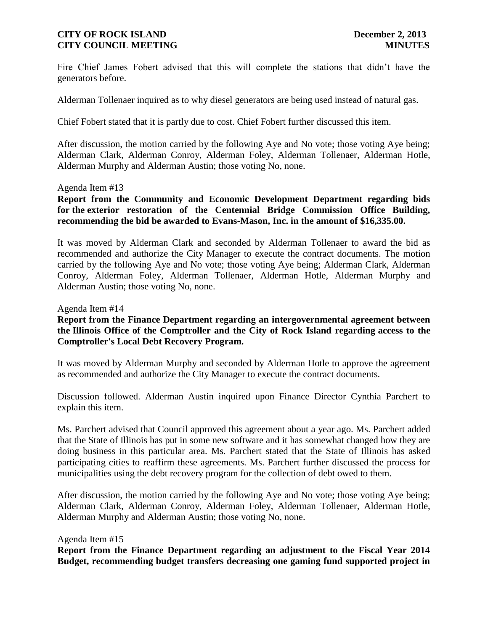Fire Chief James Fobert advised that this will complete the stations that didn't have the generators before.

Alderman Tollenaer inquired as to why diesel generators are being used instead of natural gas.

Chief Fobert stated that it is partly due to cost. Chief Fobert further discussed this item.

After discussion, the motion carried by the following Aye and No vote; those voting Aye being; Alderman Clark, Alderman Conroy, Alderman Foley, Alderman Tollenaer, Alderman Hotle, Alderman Murphy and Alderman Austin; those voting No, none.

#### Agenda Item #13

**Report from the Community and Economic Development Department regarding bids for the exterior restoration of the Centennial Bridge Commission Office Building, recommending the bid be awarded to Evans-Mason, Inc. in the amount of \$16,335.00.** 

It was moved by Alderman Clark and seconded by Alderman Tollenaer to award the bid as recommended and authorize the City Manager to execute the contract documents. The motion carried by the following Aye and No vote; those voting Aye being; Alderman Clark, Alderman Conroy, Alderman Foley, Alderman Tollenaer, Alderman Hotle, Alderman Murphy and Alderman Austin; those voting No, none.

Agenda Item #14

### **Report from the Finance Department regarding an intergovernmental agreement between the Illinois Office of the Comptroller and the City of Rock Island regarding access to the Comptroller's Local Debt Recovery Program.**

It was moved by Alderman Murphy and seconded by Alderman Hotle to approve the agreement as recommended and authorize the City Manager to execute the contract documents.

Discussion followed. Alderman Austin inquired upon Finance Director Cynthia Parchert to explain this item.

Ms. Parchert advised that Council approved this agreement about a year ago. Ms. Parchert added that the State of Illinois has put in some new software and it has somewhat changed how they are doing business in this particular area. Ms. Parchert stated that the State of Illinois has asked participating cities to reaffirm these agreements. Ms. Parchert further discussed the process for municipalities using the debt recovery program for the collection of debt owed to them.

After discussion, the motion carried by the following Aye and No vote; those voting Aye being; Alderman Clark, Alderman Conroy, Alderman Foley, Alderman Tollenaer, Alderman Hotle, Alderman Murphy and Alderman Austin; those voting No, none.

#### Agenda Item #15

**Report from the Finance Department regarding an adjustment to the Fiscal Year 2014 Budget, recommending budget transfers decreasing one gaming fund supported project in**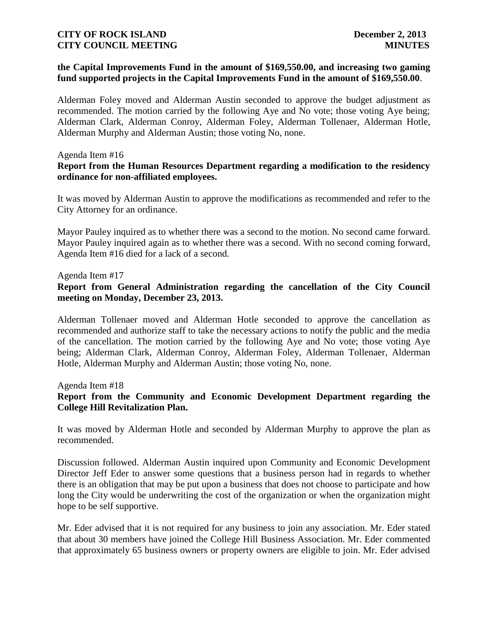### **the Capital Improvements Fund in the amount of \$169,550.00, and increasing two gaming fund supported projects in the Capital Improvements Fund in the amount of \$169,550.00**.

Alderman Foley moved and Alderman Austin seconded to approve the budget adjustment as recommended. The motion carried by the following Aye and No vote; those voting Aye being; Alderman Clark, Alderman Conroy, Alderman Foley, Alderman Tollenaer, Alderman Hotle, Alderman Murphy and Alderman Austin; those voting No, none.

#### Agenda Item #16

### **Report from the Human Resources Department regarding a modification to the residency ordinance for non-affiliated employees.**

It was moved by Alderman Austin to approve the modifications as recommended and refer to the City Attorney for an ordinance.

Mayor Pauley inquired as to whether there was a second to the motion. No second came forward. Mayor Pauley inquired again as to whether there was a second. With no second coming forward, Agenda Item #16 died for a lack of a second.

### Agenda Item #17

## **Report from General Administration regarding the cancellation of the City Council meeting on Monday, December 23, 2013.**

Alderman Tollenaer moved and Alderman Hotle seconded to approve the cancellation as recommended and authorize staff to take the necessary actions to notify the public and the media of the cancellation. The motion carried by the following Aye and No vote; those voting Aye being; Alderman Clark, Alderman Conroy, Alderman Foley, Alderman Tollenaer, Alderman Hotle, Alderman Murphy and Alderman Austin; those voting No, none.

Agenda Item #18

## **Report from the Community and Economic Development Department regarding the College Hill Revitalization Plan.**

It was moved by Alderman Hotle and seconded by Alderman Murphy to approve the plan as recommended.

Discussion followed. Alderman Austin inquired upon Community and Economic Development Director Jeff Eder to answer some questions that a business person had in regards to whether there is an obligation that may be put upon a business that does not choose to participate and how long the City would be underwriting the cost of the organization or when the organization might hope to be self supportive.

Mr. Eder advised that it is not required for any business to join any association. Mr. Eder stated that about 30 members have joined the College Hill Business Association. Mr. Eder commented that approximately 65 business owners or property owners are eligible to join. Mr. Eder advised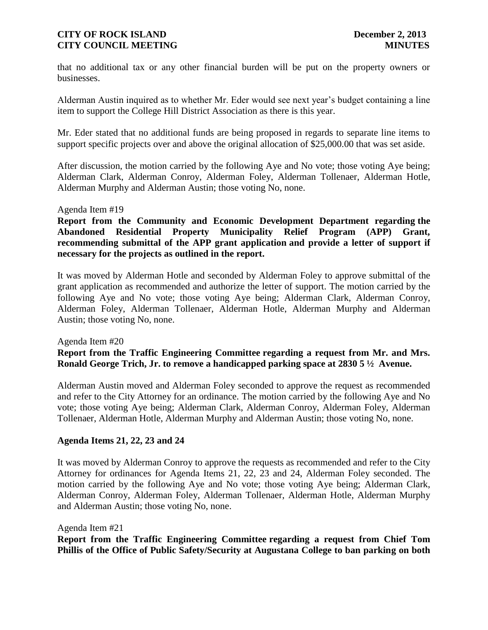that no additional tax or any other financial burden will be put on the property owners or businesses.

Alderman Austin inquired as to whether Mr. Eder would see next year's budget containing a line item to support the College Hill District Association as there is this year.

Mr. Eder stated that no additional funds are being proposed in regards to separate line items to support specific projects over and above the original allocation of \$25,000.00 that was set aside.

After discussion, the motion carried by the following Aye and No vote; those voting Aye being; Alderman Clark, Alderman Conroy, Alderman Foley, Alderman Tollenaer, Alderman Hotle, Alderman Murphy and Alderman Austin; those voting No, none.

#### Agenda Item #19

**Report from the Community and Economic Development Department regarding the Abandoned Residential Property Municipality Relief Program (APP) Grant, recommending submittal of the APP grant application and provide a letter of support if necessary for the projects as outlined in the report.**

It was moved by Alderman Hotle and seconded by Alderman Foley to approve submittal of the grant application as recommended and authorize the letter of support. The motion carried by the following Aye and No vote; those voting Aye being; Alderman Clark, Alderman Conroy, Alderman Foley, Alderman Tollenaer, Alderman Hotle, Alderman Murphy and Alderman Austin; those voting No, none.

#### Agenda Item #20

**Report from the Traffic Engineering Committee regarding a request from Mr. and Mrs. Ronald George Trich, Jr. to remove a handicapped parking space at 2830 5 ½ Avenue.** 

Alderman Austin moved and Alderman Foley seconded to approve the request as recommended and refer to the City Attorney for an ordinance. The motion carried by the following Aye and No vote; those voting Aye being; Alderman Clark, Alderman Conroy, Alderman Foley, Alderman Tollenaer, Alderman Hotle, Alderman Murphy and Alderman Austin; those voting No, none.

### **Agenda Items 21, 22, 23 and 24**

It was moved by Alderman Conroy to approve the requests as recommended and refer to the City Attorney for ordinances for Agenda Items 21, 22, 23 and 24, Alderman Foley seconded. The motion carried by the following Aye and No vote; those voting Aye being; Alderman Clark, Alderman Conroy, Alderman Foley, Alderman Tollenaer, Alderman Hotle, Alderman Murphy and Alderman Austin; those voting No, none.

#### Agenda Item #21

**Report from the Traffic Engineering Committee regarding a request from Chief Tom Phillis of the Office of Public Safety/Security at Augustana College to ban parking on both**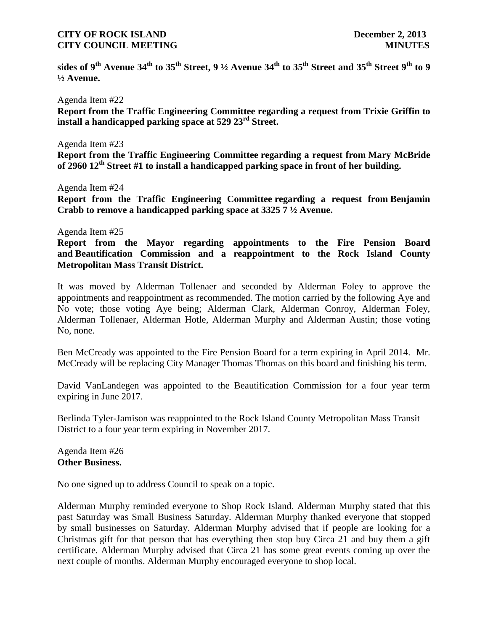**sides of 9th Avenue 34th to 35th Street, 9 ½ Avenue 34th to 35th Street and 35th Street 9th to 9 ½ Avenue.**

Agenda Item #22

**Report from the Traffic Engineering Committee regarding a request from Trixie Griffin to install a handicapped parking space at 529 23rd Street.**

#### Agenda Item #23

**Report from the Traffic Engineering Committee regarding a request from Mary McBride of 2960 12th Street #1 to install a handicapped parking space in front of her building.**

Agenda Item #24

**Report from the Traffic Engineering Committee regarding a request from Benjamin Crabb to remove a handicapped parking space at 3325 7 ½ Avenue.**

#### Agenda Item #25

**Report from the Mayor regarding appointments to the Fire Pension Board and Beautification Commission and a reappointment to the Rock Island County Metropolitan Mass Transit District.**

It was moved by Alderman Tollenaer and seconded by Alderman Foley to approve the appointments and reappointment as recommended. The motion carried by the following Aye and No vote; those voting Aye being; Alderman Clark, Alderman Conroy, Alderman Foley, Alderman Tollenaer, Alderman Hotle, Alderman Murphy and Alderman Austin; those voting No, none.

Ben McCready was appointed to the Fire Pension Board for a term expiring in April 2014. Mr. McCready will be replacing City Manager Thomas Thomas on this board and finishing his term.

David VanLandegen was appointed to the Beautification Commission for a four year term expiring in June 2017.

Berlinda Tyler-Jamison was reappointed to the Rock Island County Metropolitan Mass Transit District to a four year term expiring in November 2017.

Agenda Item #26 **Other Business.**

No one signed up to address Council to speak on a topic.

Alderman Murphy reminded everyone to Shop Rock Island. Alderman Murphy stated that this past Saturday was Small Business Saturday. Alderman Murphy thanked everyone that stopped by small businesses on Saturday. Alderman Murphy advised that if people are looking for a Christmas gift for that person that has everything then stop buy Circa 21 and buy them a gift certificate. Alderman Murphy advised that Circa 21 has some great events coming up over the next couple of months. Alderman Murphy encouraged everyone to shop local.